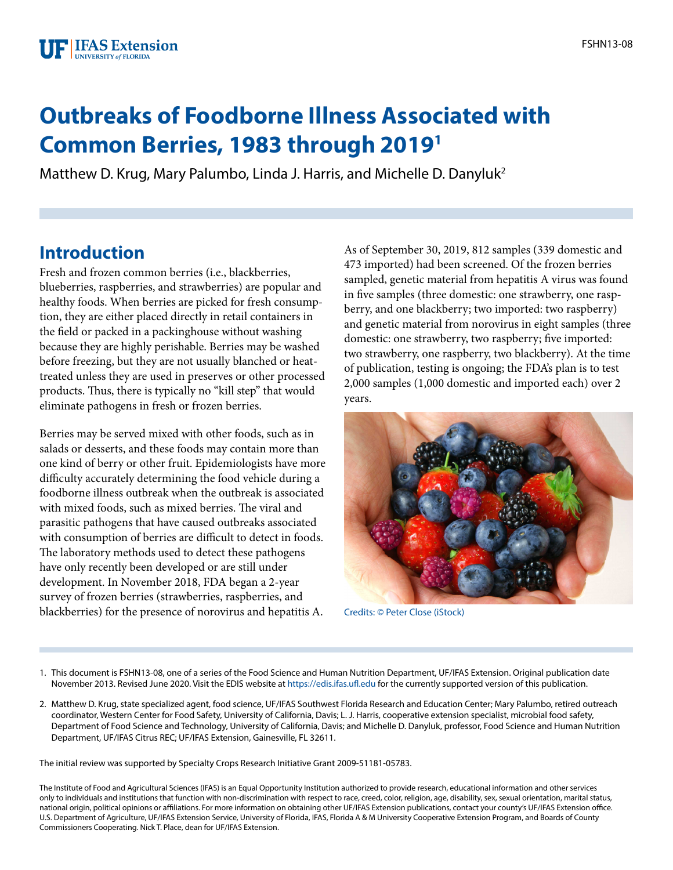## **Outbreaks of Foodborne Illness Associated with Common Berries, 1983 through 20191**

Matthew D. Krug, Mary Palumbo, Linda J. Harris, and Michelle D. Danyluk2

## **Introduction**

Fresh and frozen common berries (i.e., blackberries, blueberries, raspberries, and strawberries) are popular and healthy foods. When berries are picked for fresh consumption, they are either placed directly in retail containers in the field or packed in a packinghouse without washing because they are highly perishable. Berries may be washed before freezing, but they are not usually blanched or heattreated unless they are used in preserves or other processed products. Thus, there is typically no "kill step" that would eliminate pathogens in fresh or frozen berries.

Berries may be served mixed with other foods, such as in salads or desserts, and these foods may contain more than one kind of berry or other fruit. Epidemiologists have more difficulty accurately determining the food vehicle during a foodborne illness outbreak when the outbreak is associated with mixed foods, such as mixed berries. The viral and parasitic pathogens that have caused outbreaks associated with consumption of berries are difficult to detect in foods. The laboratory methods used to detect these pathogens have only recently been developed or are still under development. In November 2018, FDA began a 2-year survey of frozen berries (strawberries, raspberries, and blackberries) for the presence of norovirus and hepatitis A.

As of September 30, 2019, 812 samples (339 domestic and 473 imported) had been screened. Of the frozen berries sampled, genetic material from hepatitis A virus was found in five samples (three domestic: one strawberry, one raspberry, and one blackberry; two imported: two raspberry) and genetic material from norovirus in eight samples (three domestic: one strawberry, two raspberry; five imported: two strawberry, one raspberry, two blackberry). At the time of publication, testing is ongoing; the FDA's plan is to test 2,000 samples (1,000 domestic and imported each) over 2 years.



Credits: © Peter Close (iStock)

- 1. This document is FSHN13-08, one of a series of the Food Science and Human Nutrition Department, UF/IFAS Extension. Original publication date November 2013. Revised June 2020. Visit the EDIS website at <https://edis.ifas.ufl.edu>for the currently supported version of this publication.
- 2. Matthew D. Krug, state specialized agent, food science, UF/IFAS Southwest Florida Research and Education Center; Mary Palumbo, retired outreach coordinator, Western Center for Food Safety, University of California, Davis; L. J. Harris, cooperative extension specialist, microbial food safety, Department of Food Science and Technology, University of California, Davis; and Michelle D. Danyluk, professor, Food Science and Human Nutrition Department, UF/IFAS Citrus REC; UF/IFAS Extension, Gainesville, FL 32611.

The initial review was supported by Specialty Crops Research Initiative Grant 2009-51181-05783.

The Institute of Food and Agricultural Sciences (IFAS) is an Equal Opportunity Institution authorized to provide research, educational information and other services only to individuals and institutions that function with non-discrimination with respect to race, creed, color, religion, age, disability, sex, sexual orientation, marital status, national origin, political opinions or affiliations. For more information on obtaining other UF/IFAS Extension publications, contact your county's UF/IFAS Extension office. U.S. Department of Agriculture, UF/IFAS Extension Service, University of Florida, IFAS, Florida A & M University Cooperative Extension Program, and Boards of County Commissioners Cooperating. Nick T. Place, dean for UF/IFAS Extension.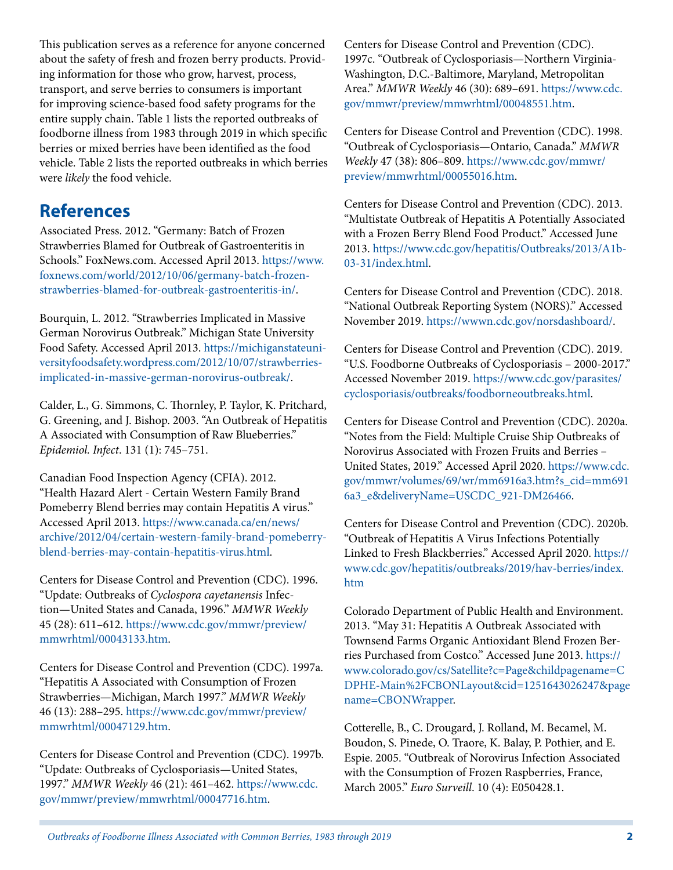This publication serves as a reference for anyone concerned about the safety of fresh and frozen berry products. Providing information for those who grow, harvest, process, transport, and serve berries to consumers is important for improving science-based food safety programs for the entire supply chain. Table 1 lists the reported outbreaks of foodborne illness from 1983 through 2019 in which specific berries or mixed berries have been identified as the food vehicle. Table 2 lists the reported outbreaks in which berries were *likely* the food vehicle.

## **References**

Associated Press. 2012. "Germany: Batch of Frozen Strawberries Blamed for Outbreak of Gastroenteritis in Schools." FoxNews.com. Accessed April 2013. [https://www.](https://www.foxnews.com/world/2012/10/06/germany-batch-frozen-strawberries-blamed-for-outbreak-gastroenteritis-in/) [foxnews.com/world/2012/10/06/germany-batch-frozen](https://www.foxnews.com/world/2012/10/06/germany-batch-frozen-strawberries-blamed-for-outbreak-gastroenteritis-in/)[strawberries-blamed-for-outbreak-gastroenteritis-in/](https://www.foxnews.com/world/2012/10/06/germany-batch-frozen-strawberries-blamed-for-outbreak-gastroenteritis-in/).

Bourquin, L. 2012. "Strawberries Implicated in Massive German Norovirus Outbreak." Michigan State University Food Safety. Accessed April 2013. [https://michiganstateuni](https://michiganstateuniversityfoodsafety.wordpress.com/2012/10/07/strawberries-implicated-in-massive-german-norovirus-outbreak/)[versityfoodsafety.wordpress.com/2012/10/07/strawberries](https://michiganstateuniversityfoodsafety.wordpress.com/2012/10/07/strawberries-implicated-in-massive-german-norovirus-outbreak/)[implicated-in-massive-german-norovirus-outbreak/](https://michiganstateuniversityfoodsafety.wordpress.com/2012/10/07/strawberries-implicated-in-massive-german-norovirus-outbreak/).

Calder, L., G. Simmons, C. Thornley, P. Taylor, K. Pritchard, G. Greening, and J. Bishop. 2003. "An Outbreak of Hepatitis A Associated with Consumption of Raw Blueberries." *Epidemiol. Infect*. 131 (1): 745–751.

Canadian Food Inspection Agency (CFIA). 2012. "Health Hazard Alert - Certain Western Family Brand Pomeberry Blend berries may contain Hepatitis A virus." Accessed April 2013. [https://www.canada.ca/en/news/](https://www.canada.ca/en/news/archive/2012/04/certain-western-family-brand-pomeberry-blend-berries-may-contain-hepatitis-virus.html) [archive/2012/04/certain-western-family-brand-pomeberry](https://www.canada.ca/en/news/archive/2012/04/certain-western-family-brand-pomeberry-blend-berries-may-contain-hepatitis-virus.html)[blend-berries-may-contain-hepatitis-virus.html](https://www.canada.ca/en/news/archive/2012/04/certain-western-family-brand-pomeberry-blend-berries-may-contain-hepatitis-virus.html).

Centers for Disease Control and Prevention (CDC). 1996. "Update: Outbreaks of *Cyclospora cayetanensis* Infection—United States and Canada, 1996." *MMWR Weekly* 45 (28): 611–612. [https://www.cdc.gov/mmwr/preview/](https://www.cdc.gov/mmwr/preview/mmwrhtml/00043133.htm) [mmwrhtml/00043133.htm.](https://www.cdc.gov/mmwr/preview/mmwrhtml/00043133.htm)

Centers for Disease Control and Prevention (CDC). 1997a. "Hepatitis A Associated with Consumption of Frozen Strawberries—Michigan, March 1997." *MMWR Weekly* 46 (13): 288–295. [https://www.cdc.gov/mmwr/preview/](https://www.cdc.gov/mmwr/preview/mmwrhtml/00047129.htm) [mmwrhtml/00047129.htm.](https://www.cdc.gov/mmwr/preview/mmwrhtml/00047129.htm)

Centers for Disease Control and Prevention (CDC). 1997b. "Update: Outbreaks of Cyclosporiasis—United States, 1997." *MMWR Weekly* 46 (21): 461–462. [https://www.cdc.](https://www.cdc.gov/mmwr/preview/mmwrhtml/00047716.htm) [gov/mmwr/preview/mmwrhtml/00047716.htm](https://www.cdc.gov/mmwr/preview/mmwrhtml/00047716.htm).

Centers for Disease Control and Prevention (CDC). 1997c. "Outbreak of Cyclosporiasis—Northern Virginia-Washington, D.C.-Baltimore, Maryland, Metropolitan Area." *MMWR Weekly* 46 (30): 689–691. [https://www.cdc.](https://www.cdc.gov/mmwr/preview/mmwrhtml/00048551.htm) [gov/mmwr/preview/mmwrhtml/00048551.htm.](https://www.cdc.gov/mmwr/preview/mmwrhtml/00048551.htm)

Centers for Disease Control and Prevention (CDC). 1998. "Outbreak of Cyclosporiasis—Ontario, Canada." *MMWR Weekly* 47 (38): 806–809. [https://www.cdc.gov/mmwr/](https://www.cdc.gov/mmwr/preview/mmwrhtml/00055016.htm) [preview/mmwrhtml/00055016.htm](https://www.cdc.gov/mmwr/preview/mmwrhtml/00055016.htm).

Centers for Disease Control and Prevention (CDC). 2013. "Multistate Outbreak of Hepatitis A Potentially Associated with a Frozen Berry Blend Food Product." Accessed June 2013. [https://www.cdc.gov/hepatitis/Outbreaks/2013/A1b-](https://www.cdc.gov/hepatitis/Outbreaks/2013/A1b-03-31/index.html)[03-31/index.html.](https://www.cdc.gov/hepatitis/Outbreaks/2013/A1b-03-31/index.html)

Centers for Disease Control and Prevention (CDC). 2018. "National Outbreak Reporting System (NORS)." Accessed November 2019. [https://wwwn.cdc.gov/norsdashboard/.](https://wwwn.cdc.gov/norsdashboard/)

Centers for Disease Control and Prevention (CDC). 2019. "U.S. Foodborne Outbreaks of Cyclosporiasis – 2000-2017." Accessed November 2019. [https://www.cdc.gov/parasites/](https://www.cdc.gov/parasites/cyclosporiasis/outbreaks/foodborneoutbreaks.html) [cyclosporiasis/outbreaks/foodborneoutbreaks.html](https://www.cdc.gov/parasites/cyclosporiasis/outbreaks/foodborneoutbreaks.html).

Centers for Disease Control and Prevention (CDC). 2020a. "Notes from the Field: Multiple Cruise Ship Outbreaks of Norovirus Associated with Frozen Fruits and Berries – United States, 2019." Accessed April 2020. [https://www.cdc.](https://www.cdc.gov/mmwr/volumes/69/wr/mm6916a3.htm?s_cid=mm6916a3_e&deliveryName=USCDC_921-DM26466) [gov/mmwr/volumes/69/wr/mm6916a3.htm?s\\_cid=mm691](https://www.cdc.gov/mmwr/volumes/69/wr/mm6916a3.htm?s_cid=mm6916a3_e&deliveryName=USCDC_921-DM26466) [6a3\\_e&deliveryName=USCDC\\_921-DM26466](https://www.cdc.gov/mmwr/volumes/69/wr/mm6916a3.htm?s_cid=mm6916a3_e&deliveryName=USCDC_921-DM26466).

Centers for Disease Control and Prevention (CDC). 2020b. "Outbreak of Hepatitis A Virus Infections Potentially Linked to Fresh Blackberries." Accessed April 2020. [https://](https://www.cdc.gov/hepatitis/outbreaks/2019/hav-berries/index.htm) [www.cdc.gov/hepatitis/outbreaks/2019/hav-berries/index.](https://www.cdc.gov/hepatitis/outbreaks/2019/hav-berries/index.htm) [htm](https://www.cdc.gov/hepatitis/outbreaks/2019/hav-berries/index.htm)

Colorado Department of Public Health and Environment. 2013. "May 31: Hepatitis A Outbreak Associated with Townsend Farms Organic Antioxidant Blend Frozen Berries Purchased from Costco." Accessed June 2013. [https://](https://www.colorado.gov/cs/Satellite?c=Page&childpagename=CDPHE-Main%2FCBONLayout&cid=1251643026247&pagename=CBONWrapper) [www.colorado.gov/cs/Satellite?c=Page&childpagename=C](https://www.colorado.gov/cs/Satellite?c=Page&childpagename=CDPHE-Main%2FCBONLayout&cid=1251643026247&pagename=CBONWrapper) [DPHE-Main%2FCBONLayout&cid=1251643026247&page](https://www.colorado.gov/cs/Satellite?c=Page&childpagename=CDPHE-Main%2FCBONLayout&cid=1251643026247&pagename=CBONWrapper) [name=CBONWrapper](https://www.colorado.gov/cs/Satellite?c=Page&childpagename=CDPHE-Main%2FCBONLayout&cid=1251643026247&pagename=CBONWrapper).

Cotterelle, B., C. Drougard, J. Rolland, M. Becamel, M. Boudon, S. Pinede, O. Traore, K. Balay, P. Pothier, and E. Espie. 2005. "Outbreak of Norovirus Infection Associated with the Consumption of Frozen Raspberries, France, March 2005." *Euro Surveill*. 10 (4): E050428.1.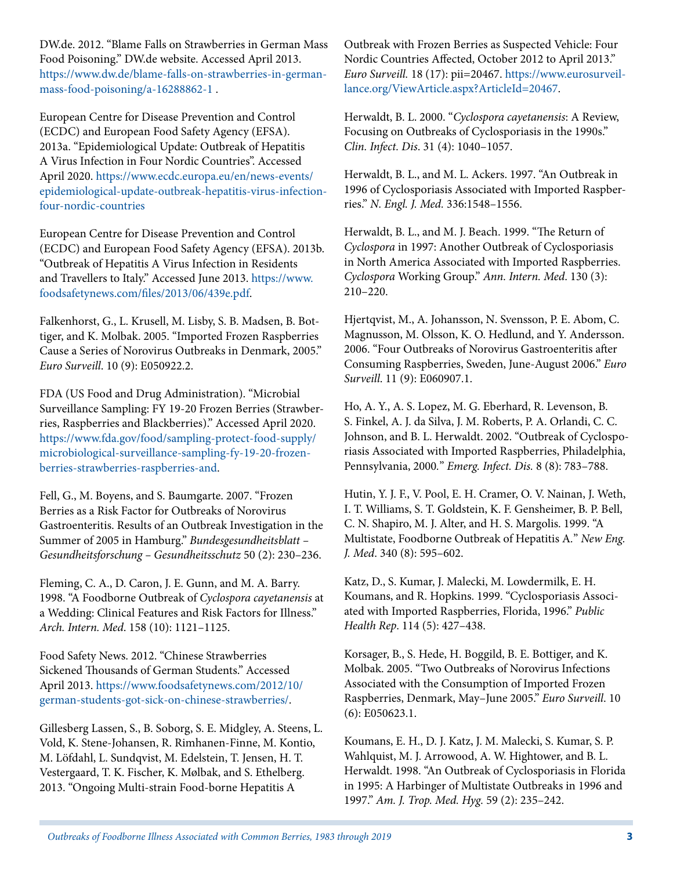DW.de. 2012. "Blame Falls on Strawberries in German Mass Food Poisoning." DW.de website. Accessed April 2013. [https://www.dw.de/blame-falls-on-strawberries-in-german](https://www.dw.de/blame-falls-on-strawberries-in-german-mass-food-poisoning/a-16288862-1)[mass-food-poisoning/a-16288862-1](https://www.dw.de/blame-falls-on-strawberries-in-german-mass-food-poisoning/a-16288862-1) .

European Centre for Disease Prevention and Control (ECDC) and European Food Safety Agency (EFSA). 2013a. "Epidemiological Update: Outbreak of Hepatitis A Virus Infection in Four Nordic Countries". Accessed April 2020. [https://www.ecdc.europa.eu/en/news-events/](https://www.ecdc.europa.eu/en/news-events/epidemiological-update-outbreak-hepatitis-virus-infection-four-nordic-countries) [epidemiological-update-outbreak-hepatitis-virus-infection](https://www.ecdc.europa.eu/en/news-events/epidemiological-update-outbreak-hepatitis-virus-infection-four-nordic-countries)[four-nordic-countries](https://www.ecdc.europa.eu/en/news-events/epidemiological-update-outbreak-hepatitis-virus-infection-four-nordic-countries)

European Centre for Disease Prevention and Control (ECDC) and European Food Safety Agency (EFSA). 2013b. "Outbreak of Hepatitis A Virus Infection in Residents and Travellers to Italy." Accessed June 2013. [https://www.](https://www.foodsafetynews.com/files/2013/06/439e.pdf) [foodsafetynews.com/files/2013/06/439e.pdf.](https://www.foodsafetynews.com/files/2013/06/439e.pdf)

Falkenhorst, G., L. Krusell, M. Lisby, S. B. Madsen, B. Bottiger, and K. Molbak. 2005. "Imported Frozen Raspberries Cause a Series of Norovirus Outbreaks in Denmark, 2005." *Euro Surveill*. 10 (9): E050922.2.

FDA (US Food and Drug Administration). "Microbial Surveillance Sampling: FY 19-20 Frozen Berries (Strawberries, Raspberries and Blackberries)." Accessed April 2020. [https://www.fda.gov/food/sampling-protect-food-supply/](https://www.fda.gov/food/sampling-protect-food-supply/microbiological-surveillance-sampling-fy-19-20-frozen-berries-strawberries-raspberries-and) [microbiological-surveillance-sampling-fy-19-20-frozen](https://www.fda.gov/food/sampling-protect-food-supply/microbiological-surveillance-sampling-fy-19-20-frozen-berries-strawberries-raspberries-and)[berries-strawberries-raspberries-and](https://www.fda.gov/food/sampling-protect-food-supply/microbiological-surveillance-sampling-fy-19-20-frozen-berries-strawberries-raspberries-and).

Fell, G., M. Boyens, and S. Baumgarte. 2007. "Frozen Berries as a Risk Factor for Outbreaks of Norovirus Gastroenteritis. Results of an Outbreak Investigation in the Summer of 2005 in Hamburg." *Bundesgesundheitsblatt – Gesundheitsforschung – Gesundheitsschutz* 50 (2): 230–236.

Fleming, C. A., D. Caron, J. E. Gunn, and M. A. Barry. 1998. "A Foodborne Outbreak of *Cyclospora cayetanensis* at a Wedding: Clinical Features and Risk Factors for Illness." *Arch. Intern. Med*. 158 (10): 1121–1125.

Food Safety News. 2012. "Chinese Strawberries Sickened Thousands of German Students." Accessed April 2013. [https://www.foodsafetynews.com/2012/10/](https://www.foodsafetynews.com/2012/10/german-students-got-sick-on-chinese-strawberries/) [german-students-got-sick-on-chinese-strawberries/.](https://www.foodsafetynews.com/2012/10/german-students-got-sick-on-chinese-strawberries/)

Gillesberg Lassen, S., B. Soborg, S. E. Midgley, A. Steens, L. Vold, K. Stene-Johansen, R. Rimhanen-Finne, M. Kontio, M. Löfdahl, L. Sundqvist, M. Edelstein, T. Jensen, H. T. Vestergaard, T. K. Fischer, K. Mølbak, and S. Ethelberg. 2013. "Ongoing Multi-strain Food-borne Hepatitis A

Outbreak with Frozen Berries as Suspected Vehicle: Four Nordic Countries Affected, October 2012 to April 2013." *Euro Surveill.* 18 (17): pii=20467. [https://www.eurosurveil](https://www.eurosurveillance.org/ViewArticle.aspx?ArticleId=20467)[lance.org/ViewArticle.aspx?ArticleId=20467.](https://www.eurosurveillance.org/ViewArticle.aspx?ArticleId=20467)

Herwaldt, B. L. 2000. "*Cyclospora cayetanensis*: A Review, Focusing on Outbreaks of Cyclosporiasis in the 1990s." *Clin. Infect. Dis*. 31 (4): 1040–1057.

Herwaldt, B. L., and M. L. Ackers. 1997. "An Outbreak in 1996 of Cyclosporiasis Associated with Imported Raspberries." *N. Engl. J. Med.* 336:1548–1556.

Herwaldt, B. L., and M. J. Beach. 1999. "The Return of *Cyclospora* in 1997: Another Outbreak of Cyclosporiasis in North America Associated with Imported Raspberries. *Cyclospora* Working Group." *Ann. Intern. Med*. 130 (3): 210–220.

Hjertqvist, M., A. Johansson, N. Svensson, P. E. Abom, C. Magnusson, M. Olsson, K. O. Hedlund, and Y. Andersson. 2006. "Four Outbreaks of Norovirus Gastroenteritis after Consuming Raspberries, Sweden, June-August 2006." *Euro Surveill*. 11 (9): E060907.1.

Ho, A. Y., A. S. Lopez, M. G. Eberhard, R. Levenson, B. S. Finkel, A. J. da Silva, J. M. Roberts, P. A. Orlandi, C. C. Johnson, and B. L. Herwaldt. 2002. "Outbreak of Cyclosporiasis Associated with Imported Raspberries, Philadelphia, Pennsylvania, 2000*.*" *Emerg. Infect. Dis.* 8 (8): 783–788.

Hutin, Y. J. F., V. Pool, E. H. Cramer, O. V. Nainan, J. Weth, I. T. Williams, S. T. Goldstein, K. F. Gensheimer, B. P. Bell, C. N. Shapiro, M. J. Alter, and H. S. Margolis. 1999. "A Multistate, Foodborne Outbreak of Hepatitis A*.*" *New Eng. J. Med*. 340 (8): 595–602.

Katz, D., S. Kumar, J. Malecki, M. Lowdermilk, E. H. Koumans, and R. Hopkins. 1999. "Cyclosporiasis Associated with Imported Raspberries, Florida, 1996." *Public Health Rep*. 114 (5): 427–438.

Korsager, B., S. Hede, H. Boggild, B. E. Bottiger, and K. Molbak. 2005. "Two Outbreaks of Norovirus Infections Associated with the Consumption of Imported Frozen Raspberries, Denmark, May–June 2005." *Euro Surveill*. 10 (6): E050623.1.

Koumans, E. H., D. J. Katz, J. M. Malecki, S. Kumar, S. P. Wahlquist, M. J. Arrowood, A. W. Hightower, and B. L. Herwaldt. 1998. "An Outbreak of Cyclosporiasis in Florida in 1995: A Harbinger of Multistate Outbreaks in 1996 and 1997." *Am. J. Trop. Med. Hyg.* 59 (2): 235–242.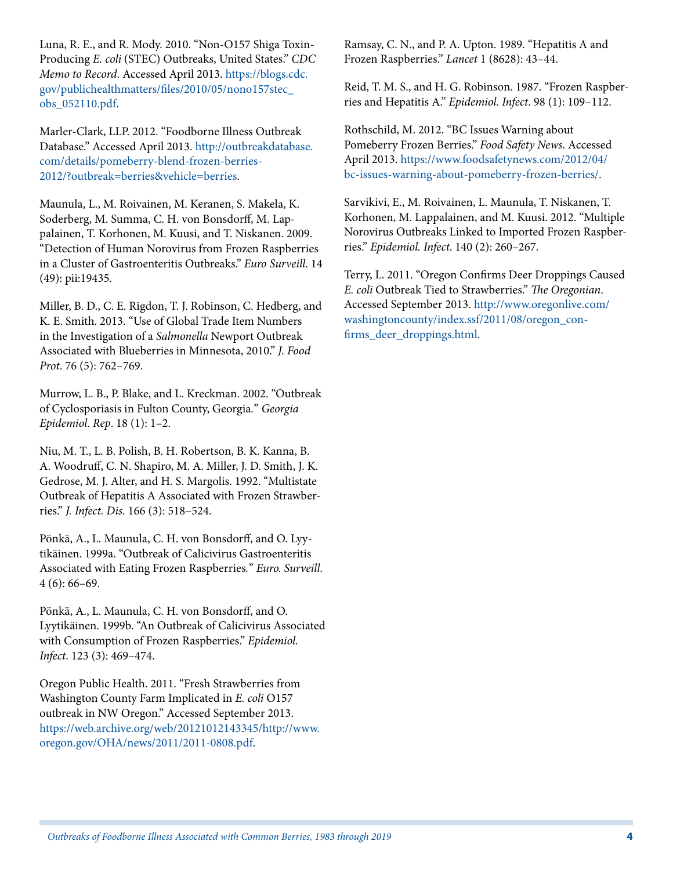Luna, R. E., and R. Mody. 2010. "Non-O157 Shiga Toxin-Producing *E. coli* (STEC) Outbreaks, United States." *CDC Memo to Record*. Accessed April 2013. [https://blogs.cdc.](https://blogs.cdc.gov/publichealthmatters/files/2010/05/nono157stec_obs_052110.pdf) [gov/publichealthmatters/files/2010/05/nono157stec\\_](https://blogs.cdc.gov/publichealthmatters/files/2010/05/nono157stec_obs_052110.pdf) [obs\\_052110.pdf.](https://blogs.cdc.gov/publichealthmatters/files/2010/05/nono157stec_obs_052110.pdf)

Marler-Clark, LLP. 2012. "Foodborne Illness Outbreak Database." Accessed April 2013. [http://outbreakdatabase.](http://outbreakdatabase.com/details/pomeberry-blend-frozen-berries-2012/?outbreak=berries&vehicle=berries) [com/details/pomeberry-blend-frozen-berries-](http://outbreakdatabase.com/details/pomeberry-blend-frozen-berries-2012/?outbreak=berries&vehicle=berries)[2012/?outbreak=berries&vehicle=berries.](http://outbreakdatabase.com/details/pomeberry-blend-frozen-berries-2012/?outbreak=berries&vehicle=berries)

Maunula, L., M. Roivainen, M. Keranen, S. Makela, K. Soderberg, M. Summa, C. H. von Bonsdorff, M. Lappalainen, T. Korhonen, M. Kuusi, and T. Niskanen. 2009. "Detection of Human Norovirus from Frozen Raspberries in a Cluster of Gastroenteritis Outbreaks." *Euro Surveill*. 14 (49): pii:19435.

Miller, B. D., C. E. Rigdon, T. J. Robinson, C. Hedberg, and K. E. Smith. 2013. "Use of Global Trade Item Numbers in the Investigation of a *Salmonella* Newport Outbreak Associated with Blueberries in Minnesota, 2010." *J. Food Prot*. 76 (5): 762–769.

Murrow, L. B., P. Blake, and L. Kreckman. 2002. "Outbreak of Cyclosporiasis in Fulton County, Georgia*.*" *Georgia Epidemiol. Rep*. 18 (1): 1–2.

Niu, M. T., L. B. Polish, B. H. Robertson, B. K. Kanna, B. A. Woodruff, C. N. Shapiro, M. A. Miller, J. D. Smith, J. K. Gedrose, M. J. Alter, and H. S. Margolis. 1992. "Multistate Outbreak of Hepatitis A Associated with Frozen Strawberries." *J. Infect. Dis.* 166 (3): 518–524.

Pönkä, A., L. Maunula, C. H. von Bonsdorff, and O. Lyytikäinen. 1999a. "Outbreak of Calicivirus Gastroenteritis Associated with Eating Frozen Raspberries*.*" *Euro. Surveill*. 4 (6): 66–69.

Pönkä, A., L. Maunula, C. H. von Bonsdorff, and O. Lyytikäinen. 1999b. "An Outbreak of Calicivirus Associated with Consumption of Frozen Raspberries." *Epidemiol. Infect*. 123 (3): 469–474.

Oregon Public Health. 2011. "Fresh Strawberries from Washington County Farm Implicated in *E. coli* O157 outbreak in NW Oregon." Accessed September 2013. [https://web.archive.org/web/20121012143345/http://www.](https://web.archive.org/web/20121012143345/http:/www.oregon.gov/OHA/news/2011/2011-0808.pdf) [oregon.gov/OHA/news/2011/2011-0808.pdf](https://web.archive.org/web/20121012143345/http:/www.oregon.gov/OHA/news/2011/2011-0808.pdf).

Ramsay, C. N., and P. A. Upton. 1989. "Hepatitis A and Frozen Raspberries." *Lancet* 1 (8628): 43–44.

Reid, T. M. S., and H. G. Robinson. 1987. "Frozen Raspberries and Hepatitis A." *Epidemiol. Infect*. 98 (1): 109–112.

Rothschild, M. 2012. "BC Issues Warning about Pomeberry Frozen Berries." *Food Safety News*. Accessed April 2013. [https://www.foodsafetynews.com/2012/04/](https://www.foodsafetynews.com/2012/04/bc-issues-warning-about-pomeberry-frozen-berries/) [bc-issues-warning-about-pomeberry-frozen-berries/.](https://www.foodsafetynews.com/2012/04/bc-issues-warning-about-pomeberry-frozen-berries/)

Sarvikivi, E., M. Roivainen, L. Maunula, T. Niskanen, T. Korhonen, M. Lappalainen, and M. Kuusi. 2012. "Multiple Norovirus Outbreaks Linked to Imported Frozen Raspberries." *Epidemiol. Infect*. 140 (2): 260–267.

Terry, L. 2011. "Oregon Confirms Deer Droppings Caused *E. coli* Outbreak Tied to Strawberries." *The Oregonian*. Accessed September 2013. [http://www.oregonlive.com/](http://www.oregonlive.com/washingtoncounty/index.ssf/2011/08/oregon_confirms_deer_droppings.html) [washingtoncounty/index.ssf/2011/08/oregon\\_con](http://www.oregonlive.com/washingtoncounty/index.ssf/2011/08/oregon_confirms_deer_droppings.html)[firms\\_deer\\_droppings.html](http://www.oregonlive.com/washingtoncounty/index.ssf/2011/08/oregon_confirms_deer_droppings.html).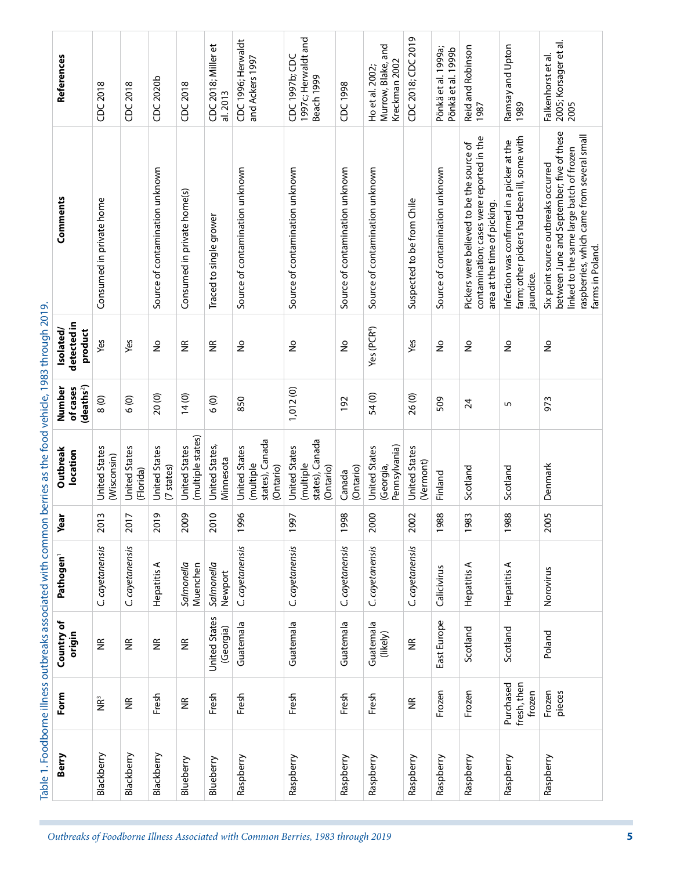| Berry      | Form                               | Country of<br>origin              | Pathogen <sup>1</sup>  | Year                             | Outbreak<br>location                                              | (deaths <sup>2</sup> )<br>of cases<br>Number | detected in<br>product<br>Isolated/ | Comments                                                                                                                                                                                       | References                                             |
|------------|------------------------------------|-----------------------------------|------------------------|----------------------------------|-------------------------------------------------------------------|----------------------------------------------|-------------------------------------|------------------------------------------------------------------------------------------------------------------------------------------------------------------------------------------------|--------------------------------------------------------|
| Blackberry | ΡÊ                                 | $\widetilde{\Xi}$                 | C. cayetanensis        | w<br>$\overline{5}$              | United States<br>(Wisconsin)                                      | 8(0)                                         | Yes                                 | Consumed in private home                                                                                                                                                                       | CDC 2018                                               |
| Blackberry | $\widetilde{\Xi}$                  | $\widetilde{\Xi}$                 | C. cayetanensis        | $\overline{1}$<br>$\overline{5}$ | <b>United States</b><br>(Florida)                                 | 6(0)                                         | Yes                                 |                                                                                                                                                                                                | CDC 2018                                               |
| Blackberry | Fresh                              | $\widetilde{\Xi}$                 | ⋖<br>Hepatitis         | $\overline{9}$<br>$\overline{5}$ | <b>United States</b><br>(7 states)                                | 20 (0)                                       | ş                                   | Source of contamination unknown                                                                                                                                                                | CDC 2020b                                              |
| Blueberry  | $\widetilde{\Xi}$                  | $\widetilde{\Xi}$                 | Salmonella<br>Muenchen | 2009                             | (multiple states)<br>United States                                | 14(0)                                        | $\widetilde{\Xi}$                   | Consumed in private home(s)                                                                                                                                                                    | CDC 2018                                               |
| Blueberry  | Fresh                              | <b>United States</b><br>(Georgia) | Salmonella<br>Newport  | 2010                             | United States,<br>Minnesota                                       | 6(0)                                         | $\widetilde{\Xi}$                   | Traced to single grower                                                                                                                                                                        | CDC 2018; Miller et<br>al. 2013                        |
| Raspberry  | Fresh                              | Guatemala                         | C. cayetanensis        | 1996                             | states), Canada<br><b>United States</b><br>(multiple<br>(Ontario) | 850                                          | ş                                   | Source of contamination unknown                                                                                                                                                                | CDC1996; Herwaldt<br>and Ackers 1997                   |
| Raspberry  | Fresh                              | Guatemala                         | C. cayetanensis        | 1997                             | states), Canada<br><b>United States</b><br>(multiple<br>(Ontario) | 1,012(0)                                     | $\geq$                              | Source of contamination unknown                                                                                                                                                                | 1997c; Herwaldt and<br>CDC1997b; CDC<br>Beach 1999     |
| Raspberry  | Fresh                              | Guatemala                         | C. cayetanensis        | 1998                             | (Ontario)<br>Canada                                               | 192                                          | $\frac{9}{2}$                       | Source of contamination unknown                                                                                                                                                                | CDC1998                                                |
| Raspberry  | Fresh                              | Guatemala<br>(likely)             | C. cayetanensis        | 2000                             | Pennsylvania)<br>United States<br>(Georgia,                       | 54 (0)                                       | Yes (PCR <sup>4</sup> )             | Source of contamination unknown                                                                                                                                                                | Murrow, Blake, and<br>Kreckman 2002<br>Ho et al. 2002; |
| Raspberry  | $\widetilde{\Xi}$                  | $\widetilde{\Xi}$                 | C. cayetanensis        | 2002                             | United States<br>(Vermont)                                        | 26 (0)                                       | Yes                                 | Suspected to be from Chile                                                                                                                                                                     | CDC 2018; CDC 2019                                     |
| Raspberry  | Frozen                             | East Europe                       | Calicivirus            | 1988                             | Finland                                                           | 509                                          | ş                                   | Source of contamination unknown                                                                                                                                                                | Pönkä et al. 1999a;<br>Pönkä et al. 1999b              |
| Raspberry  | Frozen                             | Scotland                          | Hepatitis A            | 1983                             | Scotland                                                          | 24                                           | ş                                   | contamination; cases were reported in the<br>Pickers were believed to be the source of<br>area at the time of picking.                                                                         | Reid and Robinson<br>1987                              |
| Raspberry  | Purchased<br>fresh, then<br>frozen | Scotland                          | Hepatitis A            | 1988                             | Scotland                                                          | 5                                            | $\frac{1}{2}$                       | farm; other pickers had been ill, some with<br>Infection was confirmed in a picker at the<br>jaundice.                                                                                         | Ramsay and Upton<br>1989                               |
| Raspberry  | Frozen<br>pieces                   | Poland                            | Norovirus              | 2005                             | Denmark                                                           | 973                                          | $\frac{1}{2}$                       | between June and September; five of these<br>raspberries, which came from several small<br>linked to the same large batch of frozen<br>Six point source outbreaks occurred<br>farms in Poland. | Falkenhorst et al.<br>2005; Korsager et al.<br>2005    |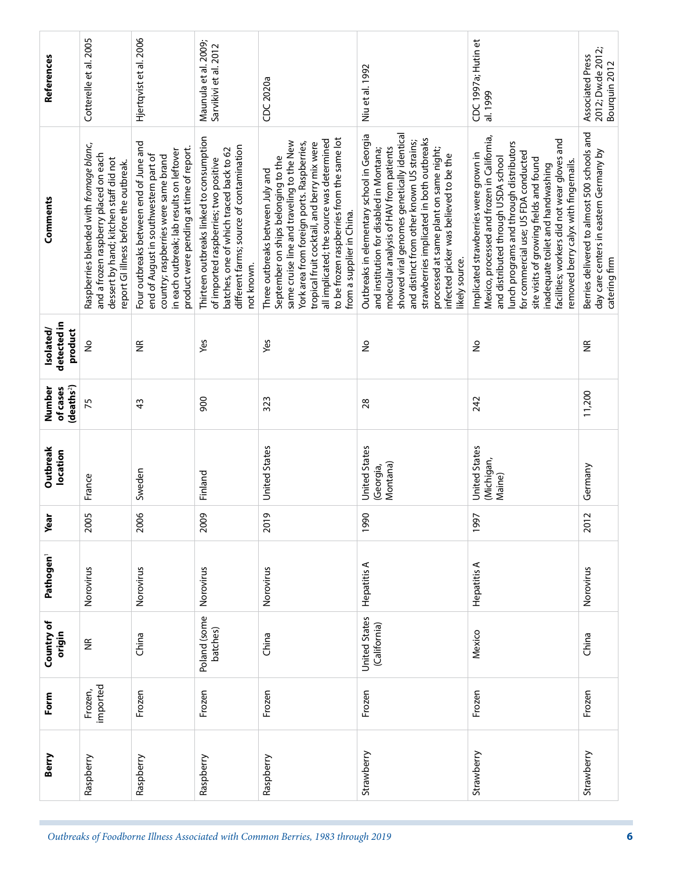| References                                | Cotterelle et al. 2005                                                                                                                                               | Hjertqvist et al. 2006                                                                                                                                                                                          | Maunula et al. 2009;<br>Sarvikivi et al. 2012                                                                                                                                          | CDC 2020a                                                                                                                                                                                                                                                                                                                                 | Niu et al. 1992                                                                                                                                                                                                                                                                                                                                                                | CDC 1997a; Hutin et<br>al. 1999                                                                                                                                                                                                                                                                                                                                                        | 2012; Dw.de 2012;<br>Associated Press<br>Bourquin 2012                                                 |
|-------------------------------------------|----------------------------------------------------------------------------------------------------------------------------------------------------------------------|-----------------------------------------------------------------------------------------------------------------------------------------------------------------------------------------------------------------|----------------------------------------------------------------------------------------------------------------------------------------------------------------------------------------|-------------------------------------------------------------------------------------------------------------------------------------------------------------------------------------------------------------------------------------------------------------------------------------------------------------------------------------------|--------------------------------------------------------------------------------------------------------------------------------------------------------------------------------------------------------------------------------------------------------------------------------------------------------------------------------------------------------------------------------|----------------------------------------------------------------------------------------------------------------------------------------------------------------------------------------------------------------------------------------------------------------------------------------------------------------------------------------------------------------------------------------|--------------------------------------------------------------------------------------------------------|
| Comments                                  | Raspberries blended with fromage blanc,<br>and a frozen raspberry placed on each<br>dessert by hand; kitchen staff did not<br>report GI illness before the outbreak. | Four outbreaks between end of June and<br>product were pending at time of report.<br>in each outbreak; lab results on leftover<br>end of August in southwestern part of<br>country; raspberries were same brand | Thirteen outbreaks linked to consumption<br>different farms; source of contamination<br>batches, one of which traced back to 62<br>of imported raspberries; two positive<br>not known. | to be frozen raspberries from the same lot<br>all implicated; the source was determined<br>same cruise line and traveling to the New<br>York area from foreign ports. Raspberries,<br>tropical fruit cocktail, and berry mix were<br>September on ships belonging to the<br>Three outbreaks between July and<br>from a supplier in China. | showed viral genomes genetically identical<br>Outbreaks in elementary school in Georgia<br>strawberries implicated in both outbreaks<br>and distinct from other known US strains;<br>molecular analysis of HAV from patients<br>processed at same plant on same night;<br>and institution for disabled in Montana;<br>infected picker was believed to be the<br>likely source. | Mexico, processed and frozen in California,<br>facilities; workers did not wear gloves and<br>lunch programs and through distributors<br>for commercial use; US FDA conducted<br>Implicated strawberries were grown in<br>and distributed through USDA school<br>site visits of growing fields and found<br>removed berry calyx with fingernails.<br>inadequate toilet and handwashing | Berries delivered to almost 500 schools and<br>day care centers in eastern Germany by<br>catering firm |
| detected in<br>Isolated/<br>product       | ş                                                                                                                                                                    | $\widetilde{\Xi}$                                                                                                                                                                                               | Yes                                                                                                                                                                                    | Yes                                                                                                                                                                                                                                                                                                                                       | ž                                                                                                                                                                                                                                                                                                                                                                              | ş                                                                                                                                                                                                                                                                                                                                                                                      | €                                                                                                      |
| deaths <sup>2</sup><br>of cases<br>Number | 75                                                                                                                                                                   | 43                                                                                                                                                                                                              | န္တ                                                                                                                                                                                    | 323                                                                                                                                                                                                                                                                                                                                       | 28                                                                                                                                                                                                                                                                                                                                                                             | 242                                                                                                                                                                                                                                                                                                                                                                                    | 11,200                                                                                                 |
| Outbreak<br>location                      | France                                                                                                                                                               | Sweden                                                                                                                                                                                                          | Finland                                                                                                                                                                                | United States                                                                                                                                                                                                                                                                                                                             | United States<br>Montana)<br>(Georgia,                                                                                                                                                                                                                                                                                                                                         | United States<br>(Michigan,<br>Maine)                                                                                                                                                                                                                                                                                                                                                  | Germany                                                                                                |
| Year                                      | 2005                                                                                                                                                                 | 2006                                                                                                                                                                                                            | 2009                                                                                                                                                                                   | 2019                                                                                                                                                                                                                                                                                                                                      | 1990                                                                                                                                                                                                                                                                                                                                                                           | 1997                                                                                                                                                                                                                                                                                                                                                                                   | 2012                                                                                                   |
| Pathogen <sup>1</sup>                     | Norovirus                                                                                                                                                            | Norovirus                                                                                                                                                                                                       | Norovirus                                                                                                                                                                              | Norovirus                                                                                                                                                                                                                                                                                                                                 | Hepatitis A                                                                                                                                                                                                                                                                                                                                                                    | Hepatitis A                                                                                                                                                                                                                                                                                                                                                                            | Norovirus                                                                                              |
| Country of<br>origin                      | $\widetilde{\Xi}$                                                                                                                                                    | China                                                                                                                                                                                                           | Poland (some<br>batches)                                                                                                                                                               | China                                                                                                                                                                                                                                                                                                                                     | United States<br>(California)                                                                                                                                                                                                                                                                                                                                                  | Mexico                                                                                                                                                                                                                                                                                                                                                                                 | China                                                                                                  |
| Form                                      | imported<br>Frozen,                                                                                                                                                  | Frozen                                                                                                                                                                                                          | Frozen                                                                                                                                                                                 | Frozen                                                                                                                                                                                                                                                                                                                                    | Frozen                                                                                                                                                                                                                                                                                                                                                                         | Frozen                                                                                                                                                                                                                                                                                                                                                                                 | Frozen                                                                                                 |
| Berry                                     | Raspberry                                                                                                                                                            | Raspberry                                                                                                                                                                                                       | Raspberry                                                                                                                                                                              | Raspberry                                                                                                                                                                                                                                                                                                                                 | Strawberry                                                                                                                                                                                                                                                                                                                                                                     | Strawberry                                                                                                                                                                                                                                                                                                                                                                             | Strawberry                                                                                             |
|                                           |                                                                                                                                                                      |                                                                                                                                                                                                                 |                                                                                                                                                                                        | Outbreaks of Foodborne Illness Associated with Common Berries, 1983 through 2019                                                                                                                                                                                                                                                          |                                                                                                                                                                                                                                                                                                                                                                                |                                                                                                                                                                                                                                                                                                                                                                                        |                                                                                                        |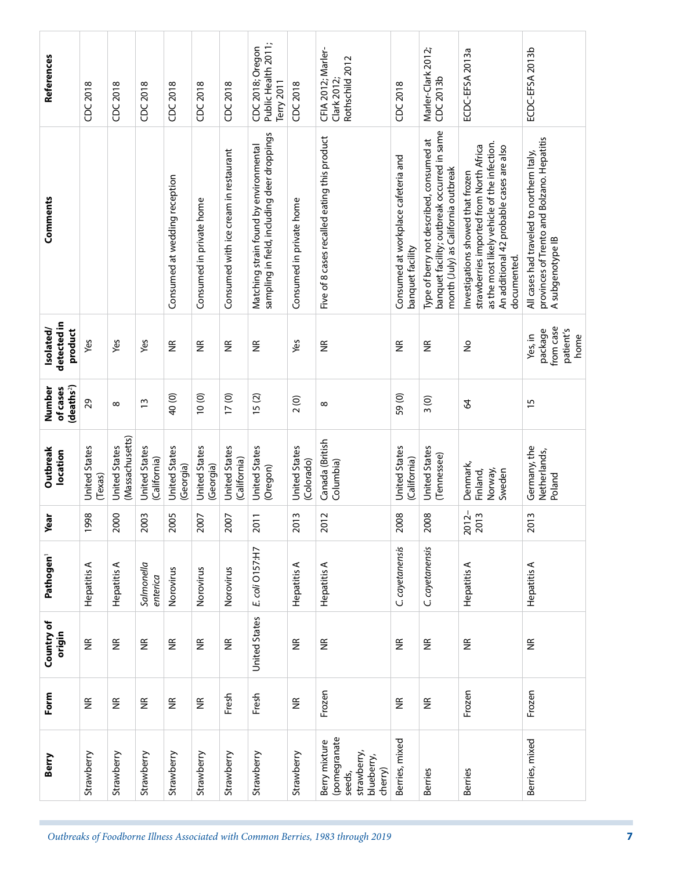| References                                   | CDC 2018                 | CDC 2018                         | CDC 2018                             | CDC 2018                          | CDC 2018                          | CDC 2018                              | Public Health 2011;<br>CDC 2018; Oregon<br>Terry 2011                                 | CDC 2018                           | CFIA 2012; Marler-<br>Rothschild 2012<br>Clark 2012                             | CDC 2018                                                | Marler-Clark 2012;<br>CDC 2013b                                                                                                | ECDC-EFSA 2013a                                                                                                                                                                         | ECDC-EFSA 2013b                                                                                             |
|----------------------------------------------|--------------------------|----------------------------------|--------------------------------------|-----------------------------------|-----------------------------------|---------------------------------------|---------------------------------------------------------------------------------------|------------------------------------|---------------------------------------------------------------------------------|---------------------------------------------------------|--------------------------------------------------------------------------------------------------------------------------------|-----------------------------------------------------------------------------------------------------------------------------------------------------------------------------------------|-------------------------------------------------------------------------------------------------------------|
| Comments                                     |                          |                                  |                                      | Consumed at wedding reception     | Consumed in private home          | Consumed with ice cream in restaurant | sampling in field, including deer droppings<br>Matching strain found by environmental | Consumed in private home           | Five of 8 cases recalled eating this product                                    | Consumed at workplace cafeteria and<br>banquet facility | banquet facility; outbreak occurred in same<br>Type of berry not described, consumed at<br>month (July) as California outbreak | as the most likely vehicle of the infection.<br>strawberries imported from North Africa<br>An additional 42 probable cases are also<br>Investigations showed that frozen<br>documented. | provinces of Trento and Bolzano. Hepatitis<br>All cases had traveled to northern Italy,<br>A subgenotype IB |
| detected in<br>Isolated/<br>product          | Yes                      | Yes                              | Yes                                  | $\widetilde{\Xi}$                 | $\widetilde{\Xi}$                 | $\widetilde{\Xi}$                     | £                                                                                     | Yes                                | $\widetilde{\Xi}$                                                               | $\widetilde{\Xi}$                                       | $\widetilde{\Xi}$                                                                                                              | $\frac{1}{2}$                                                                                                                                                                           | from case<br>patient's<br>package<br>Yes, in<br>home                                                        |
| (deaths <sup>2</sup> )<br>of cases<br>Number | 29                       | $\infty$                         | $\tilde{1}$                          | 40 (0)                            | 10(0)                             | 17(0)                                 | 15(2)                                                                                 | 2(0)                               | $\infty$                                                                        | 59(0)                                                   | $\frac{3(0)}{2}$                                                                                                               | $\mathcal{L}$                                                                                                                                                                           | $\overline{15}$                                                                                             |
| Outbreak<br>location                         | United States<br>(Texas) | (Massachusetts)<br>United States | <b>United States</b><br>(California) | <b>United States</b><br>(Georgia) | <b>United States</b><br>(Georgia) | <b>United States</b><br>(California)  | <b>United States</b><br>(Oregon)                                                      | <b>United States</b><br>(Colorado) | Canada (British<br>Columbia)                                                    | United States<br>(California)                           | <b>United States</b><br>(Tennessee)                                                                                            | Denmark,<br>Sweden<br>Finland,<br>Norway,                                                                                                                                               | Germany, the<br>Netherlands,<br>Poland                                                                      |
| Year                                         | 1998                     | 2000                             | 2003                                 | 2005                              | 2007                              | 2007                                  | 2011                                                                                  | 2013                               | 2012                                                                            | 2008                                                    | 2008                                                                                                                           | 2012-<br>2013                                                                                                                                                                           | 2013                                                                                                        |
| Pathogen <sup>1</sup>                        | Hepatitis A              | Hepatitis A                      | Salmonella<br>enterica               | Norovirus                         | Norovirus                         | Norovirus                             | E. coli O157:H7                                                                       | Hepatitis A                        | Hepatitis A                                                                     | C. cayetanensis                                         | C. cayetanensis                                                                                                                | Hepatitis A                                                                                                                                                                             | Hepatitis A                                                                                                 |
| Country of<br>origin                         | $\widetilde{\Xi}$        | $\widetilde{\Xi}$                | $\widetilde{\Xi}$                    | $\widetilde{\Xi}$                 | $\widetilde{\Xi}$                 | $\widetilde{\Xi}$                     | United States                                                                         | $\widetilde{\Xi}$                  | $\widetilde{\Xi}$                                                               | $\widetilde{\Xi}$                                       | $\widetilde{\Xi}$                                                                                                              | $\widetilde{\Xi}$                                                                                                                                                                       | $\widetilde{\Xi}$                                                                                           |
| Form                                         | $\widetilde{\Xi}$        | $\widetilde{\Xi}$                | $\widetilde{\Xi}$                    | $\widetilde{\Xi}$                 | $\widetilde{\Xi}$                 | Fresh                                 | Fresh                                                                                 | $\widetilde{\Xi}$                  | Frozen                                                                          | $\widetilde{\Xi}$                                       | $\widetilde{\Xi}$                                                                                                              | Frozen                                                                                                                                                                                  | Frozen                                                                                                      |
| Berry                                        | Strawberry               | Strawberry                       | Strawberry                           | Strawberry                        | Strawberry                        | Strawberry                            | Strawberry                                                                            | Strawberry                         | (pomegranate<br>Berry mixture<br>strawberry,<br>blueberry,<br>cherry)<br>seeds, | Berries, mixed                                          | <b>Berries</b>                                                                                                                 | <b>Berries</b>                                                                                                                                                                          | Berries, mixed                                                                                              |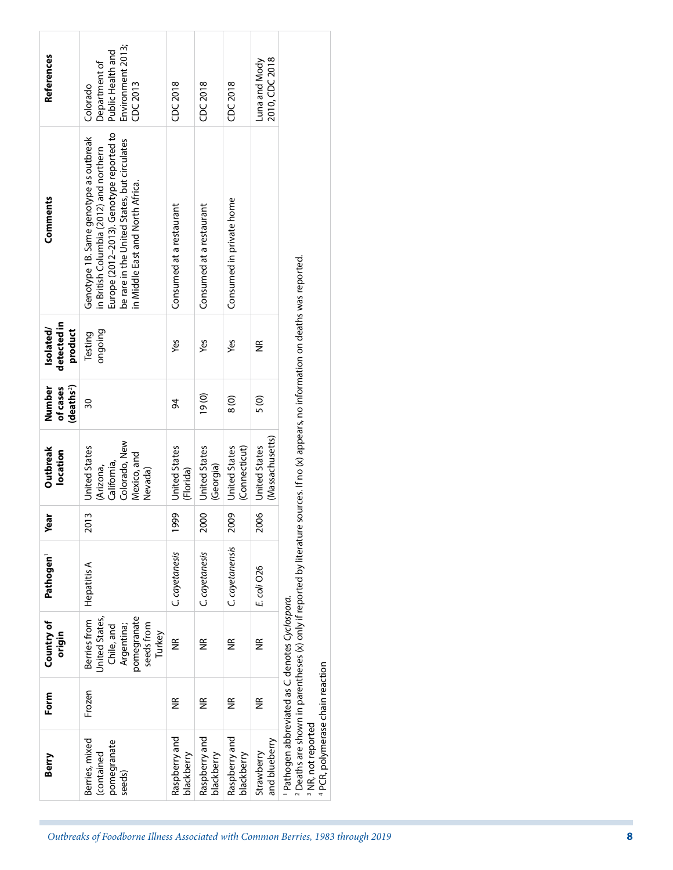| Berry                                                                                                                                       | Form               | Country of<br>origin                                                                              | Pathogen <sup>1</sup> | Year | Outbreak<br>location                                                                                                                       | Number<br>(deaths <sup>2</sup> ]<br>of cases | detected in<br>Isolated/<br>product | Comments                                                                                                                                                                                                          | References                                                                      |
|---------------------------------------------------------------------------------------------------------------------------------------------|--------------------|---------------------------------------------------------------------------------------------------|-----------------------|------|--------------------------------------------------------------------------------------------------------------------------------------------|----------------------------------------------|-------------------------------------|-------------------------------------------------------------------------------------------------------------------------------------------------------------------------------------------------------------------|---------------------------------------------------------------------------------|
| Berries, mixed<br>pomegranate<br>(contained<br>seeds)                                                                                       | Frozen             | pomegranate<br>United States,<br>Berries from<br>seeds from<br>Argentina;<br>Chile, and<br>Turkey | <b>Hepatitis A</b>    | 2013 | Colorado, New<br>United States<br>Mexico, and<br>California,<br>(Arizona,<br>Nevada)                                                       | $\overline{30}$                              | ongoing<br>Testing                  | Europe (2012-2013). Genotype reported to<br>Genotype 1B. Same genotype as outbreak<br>be rare in the United States, but circulates<br>in British Columbia (2012) and northern<br>in Middle East and North Africa. | Environment 2013;<br>Public Health and<br>Department of<br>CDC 2013<br>Colorado |
| Raspberry and<br>blackberry                                                                                                                 | $\widetilde{\Xi}$  | $\widetilde{\Xi}$                                                                                 | C. cayetanesis        | 1999 | <b>United States</b><br>(Florida)                                                                                                          | 34                                           | yes                                 | Consumed at a restaurant                                                                                                                                                                                          | CDC 2018                                                                        |
| Raspberry and<br>blackberry                                                                                                                 | $\widetilde{\Xi}$  | $\widetilde{\Xi}$                                                                                 | C. cayetanesis        | 2000 | <b>United States</b><br>(Georgia)                                                                                                          | (0)                                          | yes                                 | Consumed at a restaurant                                                                                                                                                                                          | CDC 2018                                                                        |
| Raspberry and<br>blackberry                                                                                                                 | $\frac{\alpha}{2}$ | $\widetilde{\Xi}$                                                                                 | C. cayetanensis       | 2009 | (Connecticut)<br><b>United States</b>                                                                                                      | $\frac{8}{10}$                               | yes                                 | Consumed in private home                                                                                                                                                                                          | CDC 2018                                                                        |
| and blueberry<br>Strawberry                                                                                                                 | $\widetilde{\Xi}$  | $\frac{\alpha}{2}$                                                                                | E. coli O26           | 2006 | (Massachusetts)<br><b>United States</b>                                                                                                    | 5(0)                                         | $\widetilde{\Xi}$                   |                                                                                                                                                                                                                   | 2010, CDC 2018<br>Luna and Mody                                                 |
| <sup>1</sup> Pathogen abbreviated as C. denotes Cyclospora.<br><sup>4</sup> PCR, polymerase chain reaction<br><sup>3</sup> NR, not reported |                    |                                                                                                   |                       |      | $^2$ Deaths are shown in parentheses (x) only if reported by literature sources. If no (x) appears, no information on deaths was reported. |                                              |                                     |                                                                                                                                                                                                                   |                                                                                 |